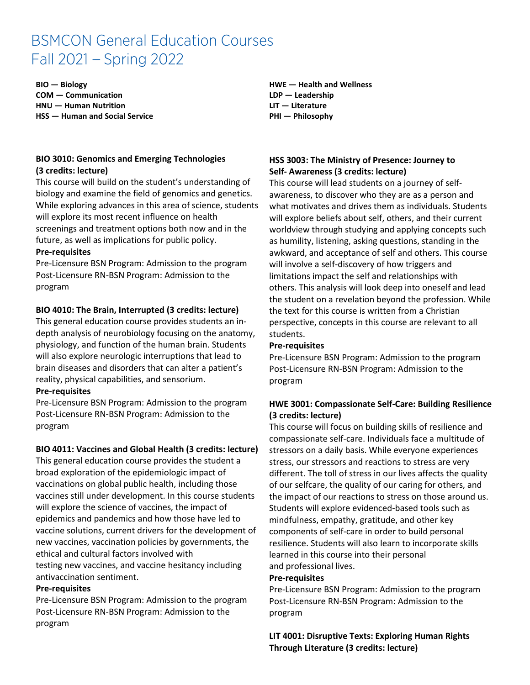# BSMCON General Education Courses Fall 2021 - Spring 2022

**BIO — Biology COM — Communication HNU — Human Nutrition HSS — Human and Social Service**

## **BIO 3010: Genomics and Emerging Technologies (3 credits: lecture)**

This course will build on the student's understanding of biology and examine the field of genomics and genetics. While exploring advances in this area of science, students will explore its most recent influence on health screenings and treatment options both now and in the future, as well as implications for public policy.

#### **Pre-requisites**

Pre-Licensure BSN Program: Admission to the program Post-Licensure RN-BSN Program: Admission to the program

## **BIO 4010: The Brain, Interrupted (3 credits: lecture)**

This general education course provides students an indepth analysis of neurobiology focusing on the anatomy, physiology, and function of the human brain. Students will also explore neurologic interruptions that lead to brain diseases and disorders that can alter a patient's reality, physical capabilities, and sensorium.

#### **Pre-requisites**

Pre-Licensure BSN Program: Admission to the program Post-Licensure RN-BSN Program: Admission to the program

#### **BIO 4011: Vaccines and Global Health (3 credits: lecture)**

This general education course provides the student a broad exploration of the epidemiologic impact of vaccinations on global public health, including those vaccines still under development. In this course students will explore the science of vaccines, the impact of epidemics and pandemics and how those have led to vaccine solutions, current drivers for the development of new vaccines, vaccination policies by governments, the ethical and cultural factors involved with testing new vaccines, and vaccine hesitancy including

#### antivaccination sentiment. **Pre-requisites**

Pre-Licensure BSN Program: Admission to the program Post-Licensure RN-BSN Program: Admission to the program

**HWE — Health and Wellness LDP — Leadership LIT — Literature PHI — Philosophy**

## **HSS 3003: The Ministry of Presence: Journey to Self- Awareness (3 credits: lecture)**

This course will lead students on a journey of selfawareness, to discover who they are as a person and what motivates and drives them as individuals. Students will explore beliefs about self, others, and their current worldview through studying and applying concepts such as humility, listening, asking questions, standing in the awkward, and acceptance of self and others. This course will involve a self-discovery of how triggers and limitations impact the self and relationships with others. This analysis will look deep into oneself and lead the student on a revelation beyond the profession. While the text for this course is written from a Christian perspective, concepts in this course are relevant to all students.

#### **Pre-requisites**

Pre-Licensure BSN Program: Admission to the program Post-Licensure RN-BSN Program: Admission to the program

## **HWE 3001: Compassionate Self-Care: Building Resilience (3 credits: lecture)**

This course will focus on building skills of resilience and compassionate self-care. Individuals face a multitude of stressors on a daily basis. While everyone experiences stress, our stressors and reactions to stress are very different. The toll of stress in our lives affects the quality of our selfcare, the quality of our caring for others, and the impact of our reactions to stress on those around us. Students will explore evidenced-based tools such as mindfulness, empathy, gratitude, and other key components of self-care in order to build personal resilience. Students will also learn to incorporate skills learned in this course into their personal and professional lives.

#### **Pre-requisites**

Pre-Licensure BSN Program: Admission to the program Post-Licensure RN-BSN Program: Admission to the program

**LIT 4001: Disruptive Texts: Exploring Human Rights Through Literature (3 credits: lecture)**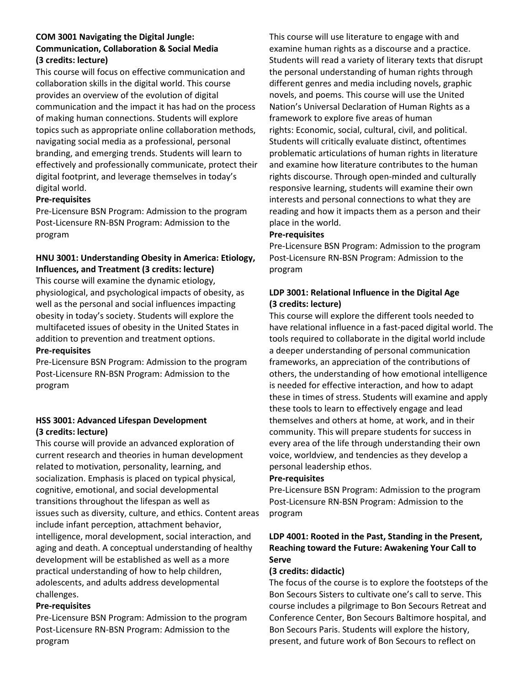## **COM 3001 Navigating the Digital Jungle: Communication, Collaboration & Social Media (3 credits: lecture)**

This course will focus on effective communication and collaboration skills in the digital world. This course provides an overview of the evolution of digital communication and the impact it has had on the process of making human connections. Students will explore topics such as appropriate online collaboration methods, navigating social media as a professional, personal branding, and emerging trends. Students will learn to effectively and professionally communicate, protect their digital footprint, and leverage themselves in today's digital world.

## **Pre-requisites**

Pre-Licensure BSN Program: Admission to the program Post-Licensure RN-BSN Program: Admission to the program

# **HNU 3001: Understanding Obesity in America: Etiology, Influences, and Treatment (3 credits: lecture)**

This course will examine the dynamic etiology, physiological, and psychological impacts of obesity, as well as the personal and social influences impacting obesity in today's society. Students will explore the multifaceted issues of obesity in the United States in addition to prevention and treatment options.

#### **Pre-requisites**

Pre-Licensure BSN Program: Admission to the program Post-Licensure RN-BSN Program: Admission to the program

## **HSS 3001: Advanced Lifespan Development (3 credits: lecture)**

This course will provide an advanced exploration of current research and theories in human development related to motivation, personality, learning, and socialization. Emphasis is placed on typical physical, cognitive, emotional, and social developmental transitions throughout the lifespan as well as issues such as diversity, culture, and ethics. Content areas include infant perception, attachment behavior, intelligence, moral development, social interaction, and aging and death. A conceptual understanding of healthy development will be established as well as a more practical understanding of how to help children, adolescents, and adults address developmental challenges.

#### **Pre-requisites**

Pre-Licensure BSN Program: Admission to the program Post-Licensure RN-BSN Program: Admission to the program

This course will use literature to engage with and examine human rights as a discourse and a practice. Students will read a variety of literary texts that disrupt the personal understanding of human rights through different genres and media including novels, graphic novels, and poems. This course will use the United Nation's Universal Declaration of Human Rights as a framework to explore five areas of human rights: Economic, social, cultural, civil, and political. Students will critically evaluate distinct, oftentimes problematic articulations of human rights in literature and examine how literature contributes to the human rights discourse. Through open-minded and culturally responsive learning, students will examine their own interests and personal connections to what they are reading and how it impacts them as a person and their place in the world.

#### **Pre-requisites**

Pre-Licensure BSN Program: Admission to the program Post-Licensure RN-BSN Program: Admission to the program

## **LDP 3001: Relational Influence in the Digital Age (3 credits: lecture)**

This course will explore the different tools needed to have relational influence in a fast-paced digital world. The tools required to collaborate in the digital world include a deeper understanding of personal communication frameworks, an appreciation of the contributions of others, the understanding of how emotional intelligence is needed for effective interaction, and how to adapt these in times of stress. Students will examine and apply these tools to learn to effectively engage and lead themselves and others at home, at work, and in their community. This will prepare students for success in every area of the life through understanding their own voice, worldview, and tendencies as they develop a personal leadership ethos.

#### **Pre-requisites**

Pre-Licensure BSN Program: Admission to the program Post-Licensure RN-BSN Program: Admission to the program

## **LDP 4001: Rooted in the Past, Standing in the Present, Reaching toward the Future: Awakening Your Call to Serve**

#### **(3 credits: didactic)**

The focus of the course is to explore the footsteps of the Bon Secours Sisters to cultivate one's call to serve. This course includes a pilgrimage to Bon Secours Retreat and Conference Center, Bon Secours Baltimore hospital, and Bon Secours Paris. Students will explore the history, present, and future work of Bon Secours to reflect on